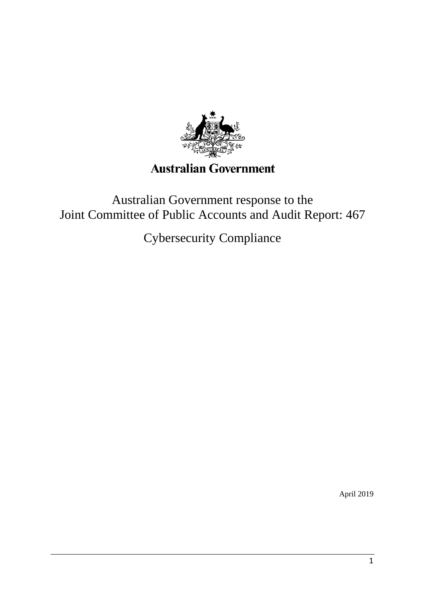

# **Australian Government**

## Australian Government response to the Joint Committee of Public Accounts and Audit Report: 467

Cybersecurity Compliance

April 2019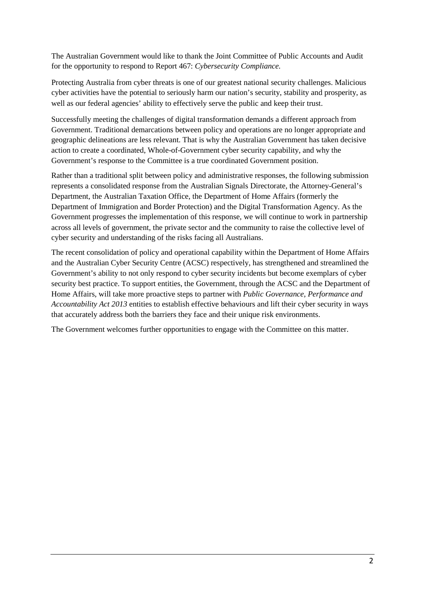The Australian Government would like to thank the Joint Committee of Public Accounts and Audit for the opportunity to respond to Report 467: *Cybersecurity Compliance.*

Protecting Australia from cyber threats is one of our greatest national security challenges. Malicious cyber activities have the potential to seriously harm our nation's security, stability and prosperity, as well as our federal agencies' ability to effectively serve the public and keep their trust.

Successfully meeting the challenges of digital transformation demands a different approach from Government. Traditional demarcations between policy and operations are no longer appropriate and geographic delineations are less relevant. That is why the Australian Government has taken decisive action to create a coordinated, Whole-of-Government cyber security capability, and why the Government's response to the Committee is a true coordinated Government position.

Rather than a traditional split between policy and administrative responses, the following submission represents a consolidated response from the Australian Signals Directorate, the Attorney-General's Department, the Australian Taxation Office, the Department of Home Affairs (formerly the Department of Immigration and Border Protection) and the Digital Transformation Agency. As the Government progresses the implementation of this response, we will continue to work in partnership across all levels of government, the private sector and the community to raise the collective level of cyber security and understanding of the risks facing all Australians.

The recent consolidation of policy and operational capability within the Department of Home Affairs and the Australian Cyber Security Centre (ACSC) respectively, has strengthened and streamlined the Government's ability to not only respond to cyber security incidents but become exemplars of cyber security best practice. To support entities, the Government, through the ACSC and the Department of Home Affairs, will take more proactive steps to partner with *Public Governance, Performance and Accountability Act 2013* entities to establish effective behaviours and lift their cyber security in ways that accurately address both the barriers they face and their unique risk environments.

The Government welcomes further opportunities to engage with the Committee on this matter.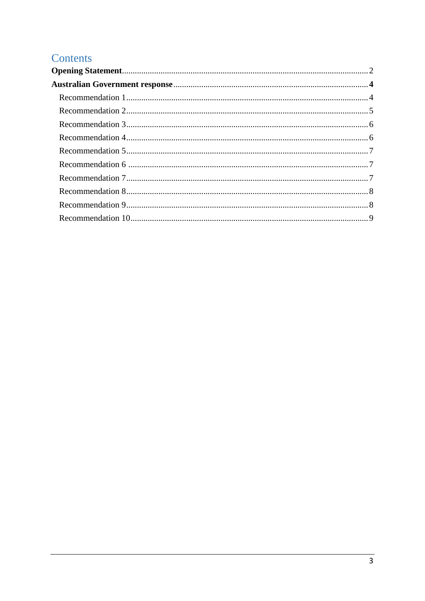## Contents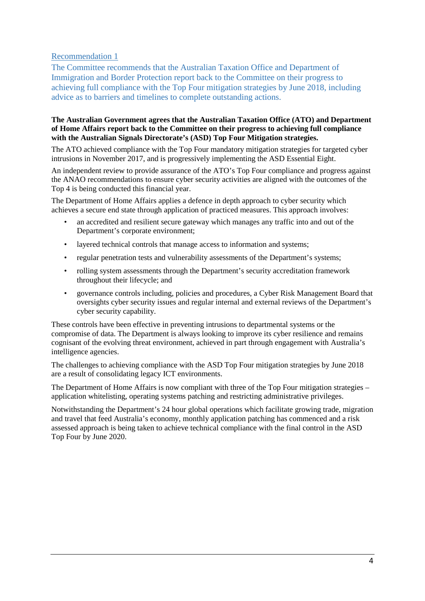The Committee recommends that the Australian Taxation Office and Department of Immigration and Border Protection report back to the Committee on their progress to achieving full compliance with the Top Four mitigation strategies by June 2018, including advice as to barriers and timelines to complete outstanding actions.

#### **The Australian Government agrees that the Australian Taxation Office (ATO) and Department of Home Affairs report back to the Committee on their progress to achieving full compliance with the Australian Signals Directorate's (ASD) Top Four Mitigation strategies.**

The ATO achieved compliance with the Top Four mandatory mitigation strategies for targeted cyber intrusions in November 2017, and is progressively implementing the ASD Essential Eight.

An independent review to provide assurance of the ATO's Top Four compliance and progress against the ANAO recommendations to ensure cyber security activities are aligned with the outcomes of the Top 4 is being conducted this financial year.

The Department of Home Affairs applies a defence in depth approach to cyber security which achieves a secure end state through application of practiced measures. This approach involves:

- an accredited and resilient secure gateway which manages any traffic into and out of the Department's corporate environment;
- layered technical controls that manage access to information and systems:
- regular penetration tests and vulnerability assessments of the Department's systems;
- rolling system assessments through the Department's security accreditation framework throughout their lifecycle; and
- governance controls including, policies and procedures, a Cyber Risk Management Board that oversights cyber security issues and regular internal and external reviews of the Department's cyber security capability.

These controls have been effective in preventing intrusions to departmental systems or the compromise of data. The Department is always looking to improve its cyber resilience and remains cognisant of the evolving threat environment, achieved in part through engagement with Australia's intelligence agencies.

The challenges to achieving compliance with the ASD Top Four mitigation strategies by June 2018 are a result of consolidating legacy ICT environments.

The Department of Home Affairs is now compliant with three of the Top Four mitigation strategies – application whitelisting, operating systems patching and restricting administrative privileges.

Notwithstanding the Department's 24 hour global operations which facilitate growing trade, migration and travel that feed Australia's economy, monthly application patching has commenced and a risk assessed approach is being taken to achieve technical compliance with the final control in the ASD Top Four by June 2020.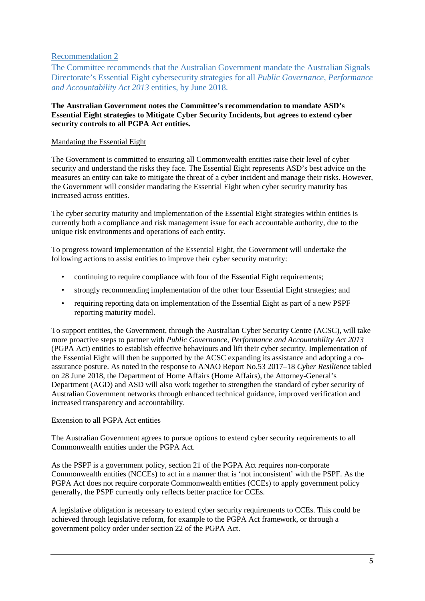The Committee recommends that the Australian Government mandate the Australian Signals Directorate's Essential Eight cybersecurity strategies for all *Public Governance, Performance and Accountability Act 2013* entities, by June 2018.

#### **The Australian Government notes the Committee's recommendation to mandate ASD's Essential Eight strategies to Mitigate Cyber Security Incidents, but agrees to extend cyber security controls to all PGPA Act entities.**

#### Mandating the Essential Eight

The Government is committed to ensuring all Commonwealth entities raise their level of cyber security and understand the risks they face. The Essential Eight represents ASD's best advice on the measures an entity can take to mitigate the threat of a cyber incident and manage their risks. However, the Government will consider mandating the Essential Eight when cyber security maturity has increased across entities.

The cyber security maturity and implementation of the Essential Eight strategies within entities is currently both a compliance and risk management issue for each accountable authority, due to the unique risk environments and operations of each entity.

To progress toward implementation of the Essential Eight, the Government will undertake the following actions to assist entities to improve their cyber security maturity:

- continuing to require compliance with four of the Essential Eight requirements;
- strongly recommending implementation of the other four Essential Eight strategies; and
- requiring reporting data on implementation of the Essential Eight as part of a new PSPF reporting maturity model.

To support entities, the Government, through the Australian Cyber Security Centre (ACSC), will take more proactive steps to partner with *Public Governance, Performance and Accountability Act 2013* (PGPA Act) entities to establish effective behaviours and lift their cyber security. Implementation of the Essential Eight will then be supported by the ACSC expanding its assistance and adopting a coassurance posture. As noted in the response to ANAO Report No.53 2017–18 *Cyber Resilience* tabled on 28 June 2018, the Department of Home Affairs (Home Affairs), the Attorney-General's Department (AGD) and ASD will also work together to strengthen the standard of cyber security of Australian Government networks through enhanced technical guidance, improved verification and increased transparency and accountability.

#### Extension to all PGPA Act entities

The Australian Government agrees to pursue options to extend cyber security requirements to all Commonwealth entities under the PGPA Act.

As the PSPF is a government policy, section 21 of the PGPA Act requires non-corporate Commonwealth entities (NCCEs) to act in a manner that is 'not inconsistent' with the PSPF. As the PGPA Act does not require corporate Commonwealth entities (CCEs) to apply government policy generally, the PSPF currently only reflects better practice for CCEs.

A legislative obligation is necessary to extend cyber security requirements to CCEs. This could be achieved through legislative reform, for example to the PGPA Act framework, or through a government policy order under section 22 of the PGPA Act.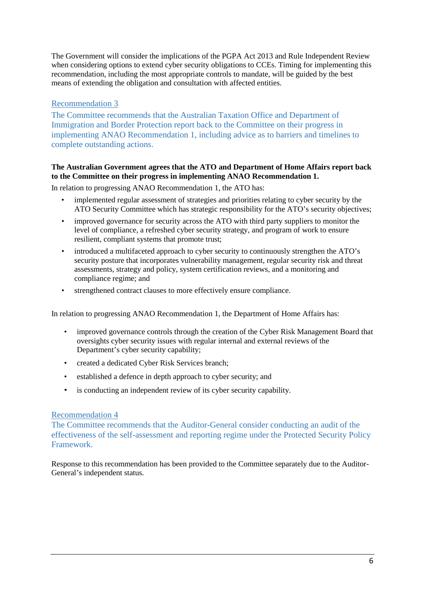The Government will consider the implications of the PGPA Act 2013 and Rule Independent Review when considering options to extend cyber security obligations to CCEs. Timing for implementing this recommendation, including the most appropriate controls to mandate, will be guided by the best means of extending the obligation and consultation with affected entities.

## [Recommendation](https://www.aph.gov.au/Parliamentary_Business/Committees/Joint/Public_Accounts_and_Audit/CybersecurityCompliance/Report_467/section?id=committees%2freportjnt%2f024076%2f24814#s24814rec3) 3

The Committee recommends that the Australian Taxation Office and Department of Immigration and Border Protection report back to the Committee on their progress in implementing ANAO Recommendation 1, including advice as to barriers and timelines to complete outstanding actions.

### **The Australian Government agrees that the ATO and Department of Home Affairs report back to the Committee on their progress in implementing ANAO Recommendation 1.**

In relation to progressing ANAO Recommendation 1, the ATO has:

- implemented regular assessment of strategies and priorities relating to cyber security by the ATO Security Committee which has strategic responsibility for the ATO's security objectives;
- improved governance for security across the ATO with third party suppliers to monitor the level of compliance, a refreshed cyber security strategy, and program of work to ensure resilient, compliant systems that promote trust;
- introduced a multifaceted approach to cyber security to continuously strengthen the ATO's security posture that incorporates vulnerability management, regular security risk and threat assessments, strategy and policy, system certification reviews, and a monitoring and compliance regime; and
- strengthened contract clauses to more effectively ensure compliance.

In relation to progressing ANAO Recommendation 1, the Department of Home Affairs has:

- improved governance controls through the creation of the Cyber Risk Management Board that oversights cyber security issues with regular internal and external reviews of the Department's cyber security capability;
- created a dedicated Cyber Risk Services branch;
- established a defence in depth approach to cyber security; and
- is conducting an independent review of its cyber security capability.

## Recommendation 4

The Committee recommends that the Auditor-General consider conducting an audit of the effectiveness of the self-assessment and reporting regime under the Protected Security Policy Framework.

Response to this recommendation has been provided to the Committee separately due to the Auditor-General's independent status.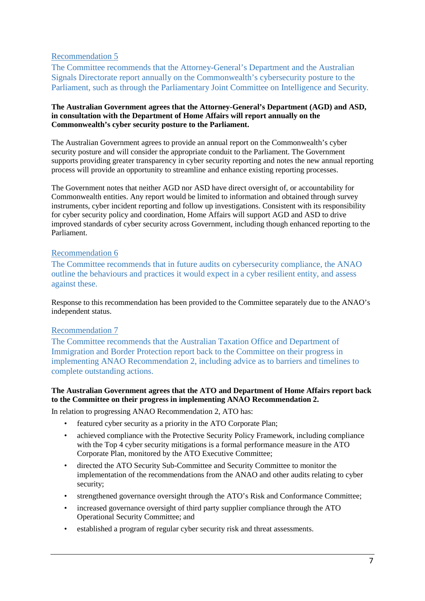The Committee recommends that the Attorney-General's Department and the Australian Signals Directorate report annually on the Commonwealth's cybersecurity posture to the Parliament, such as through the Parliamentary Joint Committee on Intelligence and Security*.* 

#### **The Australian Government agrees that the Attorney-General's Department (AGD) and ASD, in consultation with the Department of Home Affairs will report annually on the Commonwealth's cyber security posture to the Parliament.**

The Australian Government agrees to provide an annual report on the Commonwealth's cyber security posture and will consider the appropriate conduit to the Parliament. The Government supports providing greater transparency in cyber security reporting and notes the new annual reporting process will provide an opportunity to streamline and enhance existing reporting processes.

The Government notes that neither AGD nor ASD have direct oversight of, or accountability for Commonwealth entities. Any report would be limited to information and obtained through survey instruments, cyber incident reporting and follow up investigations. Consistent with its responsibility for cyber security policy and coordination, Home Affairs will support AGD and ASD to drive improved standards of cyber security across Government, including though enhanced reporting to the Parliament.

## Recommendation 6

The Committee recommends that in future audits on cybersecurity compliance, the ANAO outline the behaviours and practices it would expect in a cyber resilient entity, and assess against these.

Response to this recommendation has been provided to the Committee separately due to the ANAO's independent status.

## [Recommendation](https://www.aph.gov.au/Parliamentary_Business/Committees/Joint/Public_Accounts_and_Audit/CybersecurityCompliance/Report_467/section?id=committees%2freportjnt%2f024076%2f24815#s24815rec7) 7

The Committee recommends that the Australian Taxation Office and Department of Immigration and Border Protection report back to the Committee on their progress in implementing ANAO Recommendation 2, including advice as to barriers and timelines to complete outstanding actions.

#### **The Australian Government agrees that the ATO and Department of Home Affairs report back to the Committee on their progress in implementing ANAO Recommendation 2.**

In relation to progressing ANAO Recommendation 2, ATO has:

- featured cyber security as a priority in the ATO Corporate Plan;
- achieved compliance with the Protective Security Policy Framework, including compliance with the Top 4 cyber security mitigations is a formal performance measure in the ATO Corporate Plan, monitored by the ATO Executive Committee;
- directed the ATO Security Sub-Committee and Security Committee to monitor the implementation of the recommendations from the ANAO and other audits relating to cyber security;
- strengthened governance oversight through the ATO's Risk and Conformance Committee;
- increased governance oversight of third party supplier compliance through the ATO Operational Security Committee; and
- established a program of regular cyber security risk and threat assessments.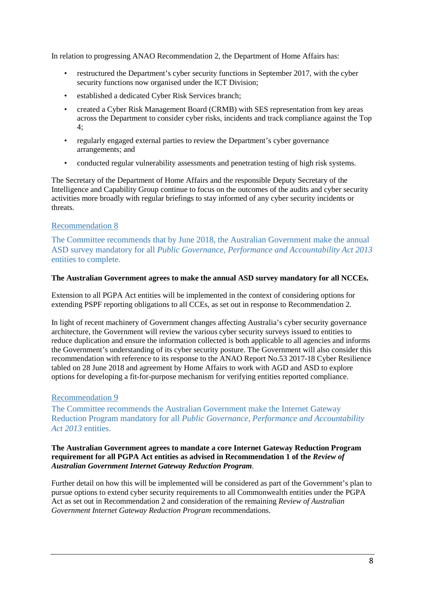In relation to progressing ANAO Recommendation 2, the Department of Home Affairs has:

- restructured the Department's cyber security functions in September 2017, with the cyber security functions now organised under the ICT Division;
- established a dedicated Cyber Risk Services branch;
- created a Cyber Risk Management Board (CRMB) with SES representation from key areas across the Department to consider cyber risks, incidents and track compliance against the Top 4;
- regularly engaged external parties to review the Department's cyber governance arrangements; and
- conducted regular vulnerability assessments and penetration testing of high risk systems.

The Secretary of the Department of Home Affairs and the responsible Deputy Secretary of the Intelligence and Capability Group continue to focus on the outcomes of the audits and cyber security activities more broadly with regular briefings to stay informed of any cyber security incidents or threats.

#### [Recommendation](https://www.aph.gov.au/Parliamentary_Business/Committees/Joint/Public_Accounts_and_Audit/CybersecurityCompliance/Report_467/section?id=committees%2freportjnt%2f024076%2f24815#s24815rec8) 8

The Committee recommends that by June 2018, the Australian Government make the annual ASD survey mandatory for all *Public Governance, Performance and Accountability Act 2013* entities to complete.

#### **The Australian Government agrees to make the annual ASD survey mandatory for all NCCEs.**

Extension to all PGPA Act entities will be implemented in the context of considering options for extending PSPF reporting obligations to all CCEs, as set out in response to Recommendation 2.

In light of recent machinery of Government changes affecting Australia's cyber security governance architecture, the Government will review the various cyber security surveys issued to entities to reduce duplication and ensure the information collected is both applicable to all agencies and informs the Government's understanding of its cyber security posture. The Government will also consider this recommendation with reference to its response to the ANAO Report No.53 2017-18 Cyber Resilience tabled on 28 June 2018 and agreement by Home Affairs to work with AGD and ASD to explore options for developing a fit-for-purpose mechanism for verifying entities reported compliance.

#### [Recommendation](https://www.aph.gov.au/Parliamentary_Business/Committees/Joint/Public_Accounts_and_Audit/CybersecurityCompliance/Report_467/section?id=committees%2freportjnt%2f024076%2f24815#s24815rec9) 9

The Committee recommends the Australian Government make the Internet Gateway Reduction Program mandatory for all *Public Governance, Performance and Accountability Act 2013* entities.

#### **The Australian Government agrees to mandate a core Internet Gateway Reduction Program requirement for all PGPA Act entities as advised in Recommendation 1 of the** *Review of Australian Government Internet Gateway Reduction Program.*

Further detail on how this will be implemented will be considered as part of the Government's plan to pursue options to extend cyber security requirements to all Commonwealth entities under the PGPA Act as set out in Recommendation 2 and consideration of the remaining *Review of Australian Government Internet Gateway Reduction Program* recommendations.